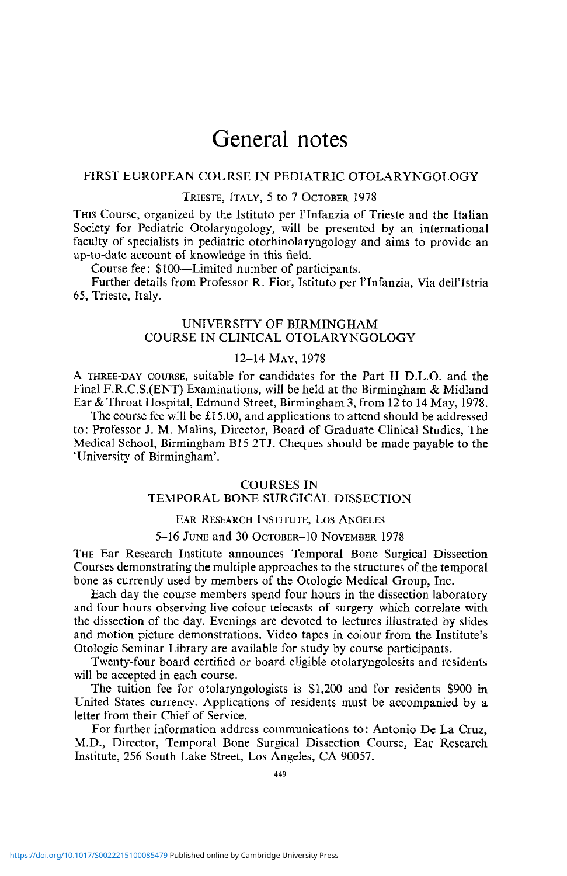# General notes

# FIRST EUROPEAN COURSE TN PEDIATRIC OTOLARYNGOLOGY

## TRIESTE, ITALY, 5 to 7 OCTOBER 1978

THIS Course, organized by the lstituto per I'lnfanzia of Trieste and the Italian Society for Pediatric Otolaryngology, will be presented by an international faculty of specialists in pediatric otorhinolaryngology and aims to provide an up-to-date account of knowledge in this field.

Course fee: \$100—Limited number of participants.

Further details from Professor R. Fior, lstituto per I'lnfanzia, Via dell'Istria 65, Trieste, Italy.

# UNIVERSITY OF BIRMINGHAM COURSE IN CLINICAL OTOLARYNGOLOGY

# 12-14 MAY, 1978

A THREE-DAY COURSE, suitable for candidates for the Part II D.L.O. and the Final F.R.C.S.(ENT) Examinations, will be held at the Birmingham & Midland Ear & Throat Hospital, Edmund Street, Birmingham 3, from 12 to 14 May, 1978.

The course fee will be £15.00, and applications to attend should be addressed to: Professor J. M. Malins, Director, Board of Graduate Clinical Studies, The Medical School, Birmingham B15 2TJ. Cheques should be made payable to the 'University of Birmingham'.

## COURSES IN

# TEMPORAL BONE SURGICAL DISSECTION

# EAR RESEARCH INSTITUTE, LOS ANGELES

## 5-16 JUNE and 30 OCTOBER-10 NOVEMBER 1978

THE Ear Research Institute announces Temporal Bone Surgical Dissection Courses demonstrating the multiple approaches to the structures of the temporal bone as currently used by members of the Otologic Medical Group, Inc.

Each day the course members spend four hours in the dissection laboratory and four hours observing live colour telecasts of surgery which correlate with the dissection of the day. Evenings are devoted to lectures illustrated by slides and motion picture demonstrations. Video tapes in colour from the Institute's Otologic Seminar Library are available for study by course participants.

Twenty-four board certified or board eligible otolaryngolosits and residents will be accepted in each course.

The tuition fee for otolaryngologists is \$1,200 and for residents \$900 in United States currency. Applications of residents must be accompanied by a letter from their Chief of Service.

For further information address communications to: Antonio De La Cruz, M.D., Director, Temporal Bone Surgical Dissection Course, Ear Research Institute, 256 South Lake Street, Los Angeles, CA 90057.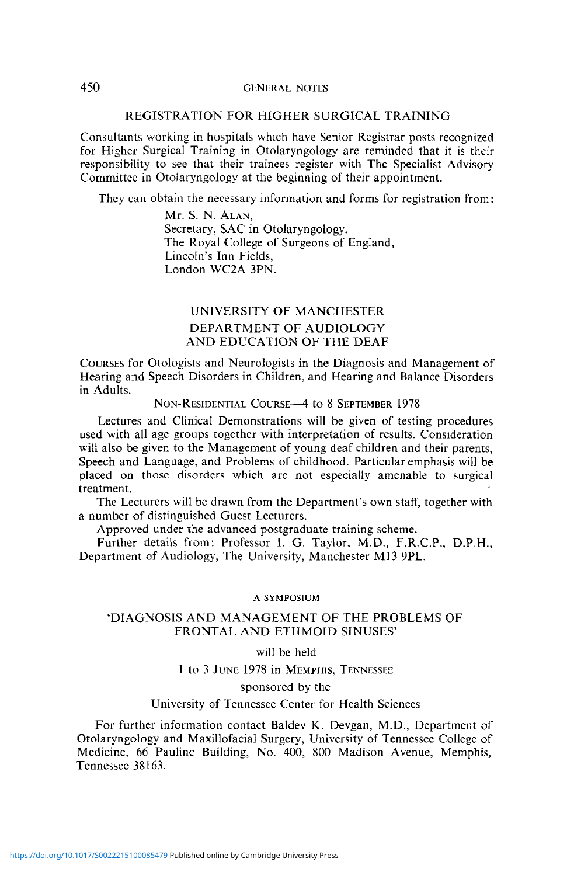## REGISTRATION FOR HIGHER SURGICAL TRAINING

Consultants working in hospitals which have Senior Registrar posts recognized for Higher Surgical Training in Otolaryngology are reminded that it is their responsibility to see that their trainees register with The Specialist Advisory Committee in Otoiaryngology at the beginning of their appointment.

They can obtain the necessary information and forms for registration from:

Mr. S. N. ALAN, Secretary, SAC in Otolaryngology, The Royal College of Surgeons of England, Lincoln's Inn Fields, London WC2A 3PN.

# UNIVERSITY OF MANCHESTER DEPARTMENT OF AUDIOLOGY AND EDUCATION OF THE DEAF

COURSES for Otologists and Neurologists in the Diagnosis and Management of Hearing and Speech Disorders in Children, and Hearing and Balance Disorders in Adults.

# NON-RESIDENTIAL COURSE—4 to 8 SEPTEMBER 1978

Lectures and Clinical Demonstrations will be given of testing procedures used with all age groups together with interpretation of results. Consideration will also be given to the Management of young deaf children and their parents, Speech and Language, and Problems of childhood. Particular emphasis will be placed on those disorders which are not especially amenable to surgical treatment.

The Lecturers will be drawn from the Department's own staff, together with a number of distinguished Guest Lecturers.

Approved under the advanced postgraduate training scheme.

Further details from: Professor I. G. Taylor, M.D., F.R.C.P., D.P.H., Department of Audiology, The University, Manchester M13 9PL.

#### A SYMPOSIUM

## 'DIAGNOSIS AND MANAGEMENT OF THE PROBLEMS OF FRONTAL AND ETHMOID SINUSES'

#### will be held

1 to 3 JUNE 1978 in MEMPHIS, TENNESSEE

#### sponsored by the

#### University of Tennessee Center for Health Sciences

For further information contact Baldev K. Devgan, M.D., Department of Otolaryngology and Maxillofacial Surgery, University of Tennessee College of Medicine, 66 Pauline Building, No. 400, 800 Madison Avenue, Memphis, Tennessee 38163.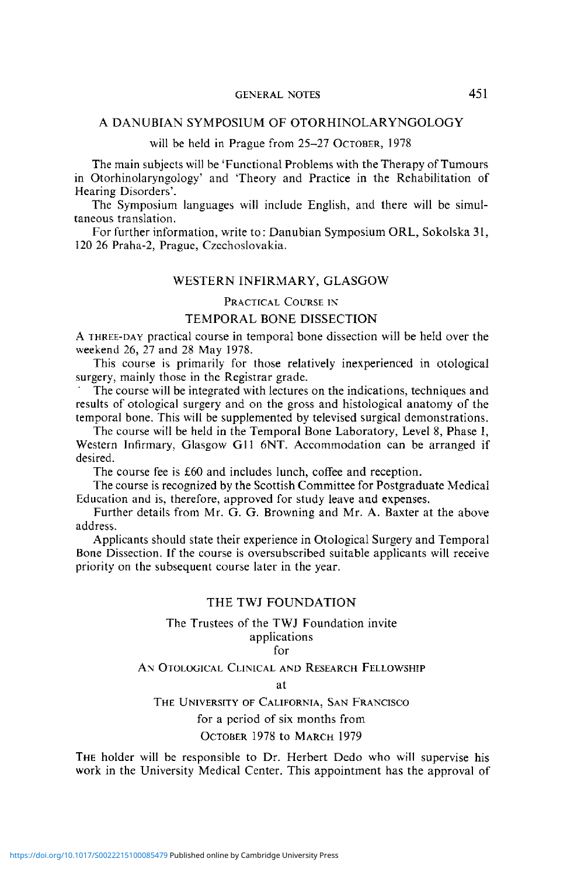# GENERAL NOTES 451

# A DANUBrAN SYMPOSIUM OF OTORHINOLARYNGOLOGY

# will be held in Prague from 25-27 OCTOBER, 1978

The main subjects will be 'Functional Problems with the Therapy of Tumours in Otorhinolaryngology' and 'Theory and Practice in the Rehabilitation of Hearing Disorders'.

The Symposium languages will include English, and there will be simultaneous translation.

For further information, write to: Danubian Symposium ORL, Sokolska 31, 120 26 Praha-2, Prague, Czechoslovakia.

## WESTERN INFIRMARY, GLASGOW

# PRACTICAL COURSE IN

# TEMPORAL BONE DISSECTION

A THREE-DAY practical course in temporal bone dissection will be held over the weekend 26, 27 and 28 May 1978.

This course is primarily for those relatively inexperienced in otological surgery, mainly those in the Registrar grade.

The course will be integrated with lectures on the indications, techniques and results of otological surgery and on the gross and histological anatomy of the temporal bone. This will be supplemented by televised surgical demonstrations.

The course will be held in the Temporal Bone Laboratory, Level 8, Phase I, Western Infirmary. Glasgow G11 6NT. Accommodation can be arranged if desired.

The course fee is £60 and includes lunch, coffee and reception.

The course is recognized by the Scottish Committee for Postgraduate Medical Education and is, therefore, approved for study leave and expenses.

Further details from Mr. G. G. Browning and Mr. A. Baxter at the above address.

Applicants should state their experience in Otological Surgery and Temporal Bone Dissection. If the course is oversubscribed suitable applicants will receive priority on the subsequent course later in the year.

### THE TWJ FOUNDATION

#### The Trustees of the TWJ Foundation invite applications

for

AN OTOLOGICAL CLINICAL AND RESEARCH FELLOWSHIP

at

# THE UNIVERSITY OF CALIFORNIA, SAN FRANCISCO for a period of six months from OCTOBER 1978 to MARCH 1979

THE holder will be responsible to Dr. Herbert Dedo who will supervise his work in the University Medical Center. This appointment has the approval of